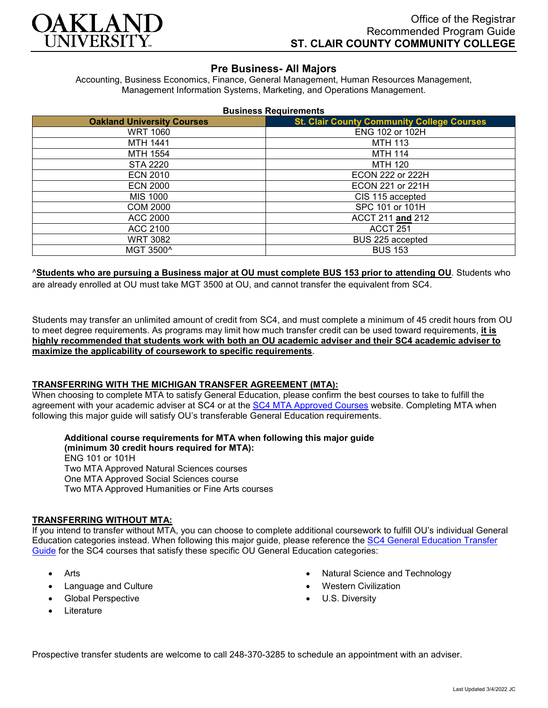

## **Pre Business- All Majors**

Accounting, Business Economics, Finance, General Management, Human Resources Management, Management Information Systems, Marketing, and Operations Management.

| <b>Business Requirements</b> |  |  |
|------------------------------|--|--|
|------------------------------|--|--|

| <b>Oakland University Courses</b> | <b>St. Clair County Community College Courses</b> |  |
|-----------------------------------|---------------------------------------------------|--|
| <b>WRT 1060</b>                   | ENG 102 or 102H                                   |  |
| MTH 1441                          | <b>MTH 113</b>                                    |  |
| MTH 1554                          | <b>MTH 114</b>                                    |  |
| STA 2220                          | <b>MTH 120</b>                                    |  |
| <b>ECN 2010</b>                   | <b>ECON 222 or 222H</b>                           |  |
| <b>ECN 2000</b>                   | ECON 221 or 221H                                  |  |
| MIS 1000                          | CIS 115 accepted                                  |  |
| <b>COM 2000</b>                   | SPC 101 or 101H                                   |  |
| ACC 2000                          | ACCT 211 and 212                                  |  |
| ACC 2100                          | ACCT <sub>251</sub>                               |  |
| <b>WRT 3082</b>                   | BUS 225 accepted                                  |  |
| MGT 3500^                         | <b>BUS 153</b>                                    |  |

^**Students who are pursuing a Business major at OU must complete BUS 153 prior to attending OU**. Students who are already enrolled at OU must take MGT 3500 at OU, and cannot transfer the equivalent from SC4.

Students may transfer an unlimited amount of credit from SC4, and must complete a minimum of 45 credit hours from OU to meet degree requirements. As programs may limit how much transfer credit can be used toward requirements, **it is highly recommended that students work with both an OU academic adviser and their SC4 academic adviser to maximize the applicability of coursework to specific requirements**.

## **TRANSFERRING WITH THE MICHIGAN TRANSFER AGREEMENT (MTA):**

When choosing to complete MTA to satisfy General Education, please confirm the best courses to take to fulfill the agreement with your academic adviser at SC4 or at the [SC4 MTA Approved Courses](https://sc4.edu/admissions/transferring-after-sc4/michigan-transfer-agreement/) website. Completing MTA when following this major guide will satisfy OU's transferable General Education requirements.

# **Additional course requirements for MTA when following this major guide**

**(minimum 30 credit hours required for MTA):** ENG 101 or 101H Two MTA Approved Natural Sciences courses One MTA Approved Social Sciences course Two MTA Approved Humanities or Fine Arts courses

#### **TRANSFERRING WITHOUT MTA:**

If you intend to transfer without MTA, you can choose to complete additional coursework to fulfill OU's individual General Education categories instead. When following this major guide, please reference the [SC4 General Education Transfer](https://www.oakland.edu/Assets/Oakland/program-guides/st-clair-county-community-college/university-general-education-requirements/SC4%20Gen%20Ed.pdf)  [Guide](https://www.oakland.edu/Assets/Oakland/program-guides/st-clair-county-community-college/university-general-education-requirements/SC4%20Gen%20Ed.pdf) for the SC4 courses that satisfy these specific OU General Education categories:

- Arts
- Language and Culture
- Global Perspective
- **Literature**
- Natural Science and Technology
- Western Civilization
- U.S. Diversity

Prospective transfer students are welcome to call 248-370-3285 to schedule an appointment with an adviser.